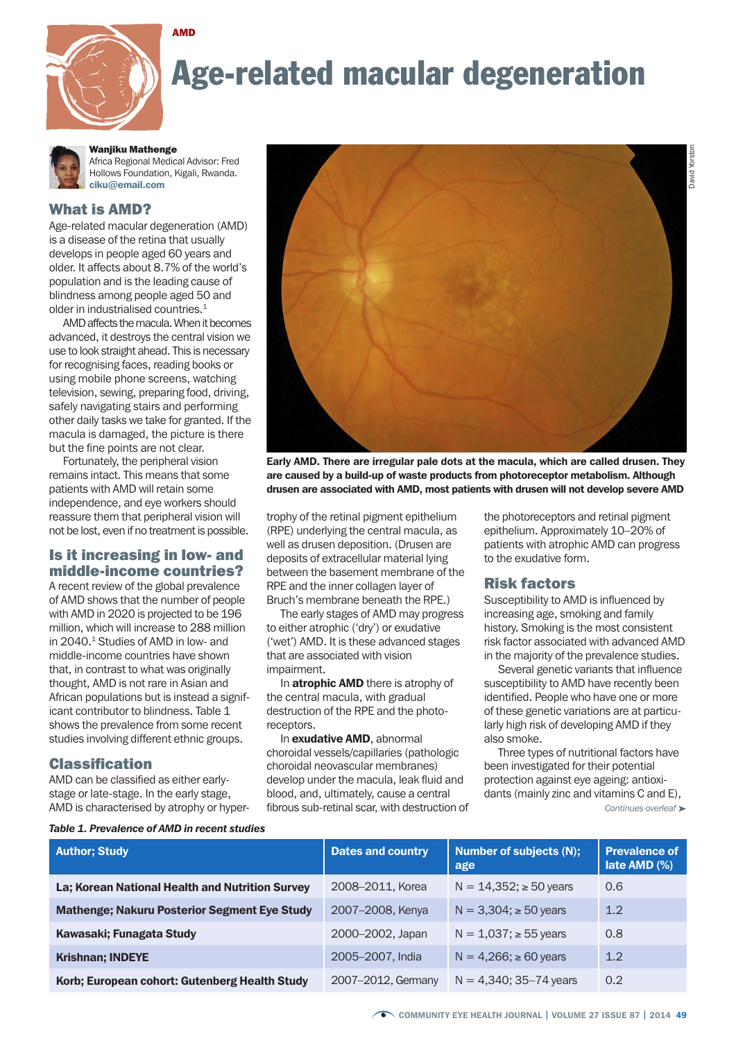

# Age-related macular degeneration



## Wanjiku Mathenge

Africa Regional Medical Advisor: Fred Hollows Foundation, Kigali, Rwanda. ciku@email.com

#### What is AMD?

Age-related macular degeneration (AMD) is a disease of the retina that usually develops in people aged 60 years and older. It affects about 8.7% of the world's population and is the leading cause of blindness among people aged 50 and older in industrialised countries.<sup>1</sup>

AMD affects the macula. When it becomes advanced, it destroys the central vision we use to look straight ahead. This is necessary for recognising faces, reading books or using mobile phone screens, watching television, sewing, preparing food, driving, safely navigating stairs and performing other daily tasks we take for granted. If the macula is damaged, the picture is there but the fine points are not clear.

Fortunately, the peripheral vision remains intact. This means that some patients with AMD will retain some independence, and eye workers should reassure them that peripheral vision will not be lost, even if no treatment is possible.

#### Is it increasing in low- and middle-income countries?

A recent review of the global prevalence of AMD shows that the number of people with AMD in 2020 is projected to be 196 million, which will increase to 288 million in 2040.<sup>1</sup> Studies of AMD in low- and middle-income countries have shown that, in contrast to what was originally thought, AMD is not rare in Asian and African populations but is instead a significant contributor to blindness. Table 1 shows the prevalence from some recent studies involving different ethnic groups.

#### Classification

AMD can be classified as either earlystage or late-stage. In the early stage, AMD is characterised by atrophy or hyper-



Early AMD. There are irregular pale dots at the macula, which are called drusen. They are caused by a build-up of waste products from photoreceptor metabolism. Although drusen are associated with AMD, most patients with drusen will not develop severe AMD

trophy of the retinal pigment epithelium (RPE) underlying the central macula, as well as drusen deposition. (Drusen are deposits of extracellular material lying between the basement membrane of the RPE and the inner collagen layer of Bruch's membrane beneath the RPE.)

The early stages of AMD may progress to either atrophic ('dry') or exudative ('wet') AMD. It is these advanced stages that are associated with vision impairment.

In **atrophic AMD** there is atrophy of the central macula, with gradual destruction of the RPE and the photoreceptors.

In exudative AMD, abnormal choroidal vessels/capillaries (pathologic choroidal neovascular membranes) develop under the macula, leak fluid and blood, and, ultimately, cause a central fibrous sub-retinal scar, with destruction of the photoreceptors and retinal pigment epithelium. Approximately 10–20% of patients with atrophic AMD can progress to the exudative form.

#### Risk factors

Susceptibility to AMD is influenced by increasing age, smoking and family history. Smoking is the most consistent risk factor associated with advanced AMD in the majority of the prevalence studies.

Several genetic variants that influence susceptibility to AMD have recently been identified. People who have one or more of these genetic variations are at particularly high risk of developing AMD if they also smoke.

Three types of nutritional factors have been investigated for their potential protection against eye ageing: antioxidants (mainly zinc and vitamins C and E),

*Continues overleaf* ➤

| <b>Author: Study</b>                                | <b>Dates and country</b> | Number of subjects (N);<br>age | <b>Prevalence of</b><br>late AMD (%) |
|-----------------------------------------------------|--------------------------|--------------------------------|--------------------------------------|
| La; Korean National Health and Nutrition Survey     | 2008-2011. Korea         | $N = 14,352$ ; $\ge 50$ years  | 0.6                                  |
| <b>Mathenge; Nakuru Posterior Segment Eye Study</b> | 2007-2008, Kenya         | $N = 3,304$ ; $\ge 50$ years   | 1.2                                  |
| Kawasaki; Funagata Study                            | 2000–2002, Japan         | $N = 1,037$ ; $\ge 55$ years   | 0.8                                  |
| <b>Krishnan; INDEYE</b>                             | 2005-2007, India         | $N = 4,266$ ; $\ge 60$ years   | 1.2                                  |
| Korb; European cohort: Gutenberg Health Study       | 2007-2012, Germany       | $N = 4,340; 35-74$ years       | 0.2                                  |